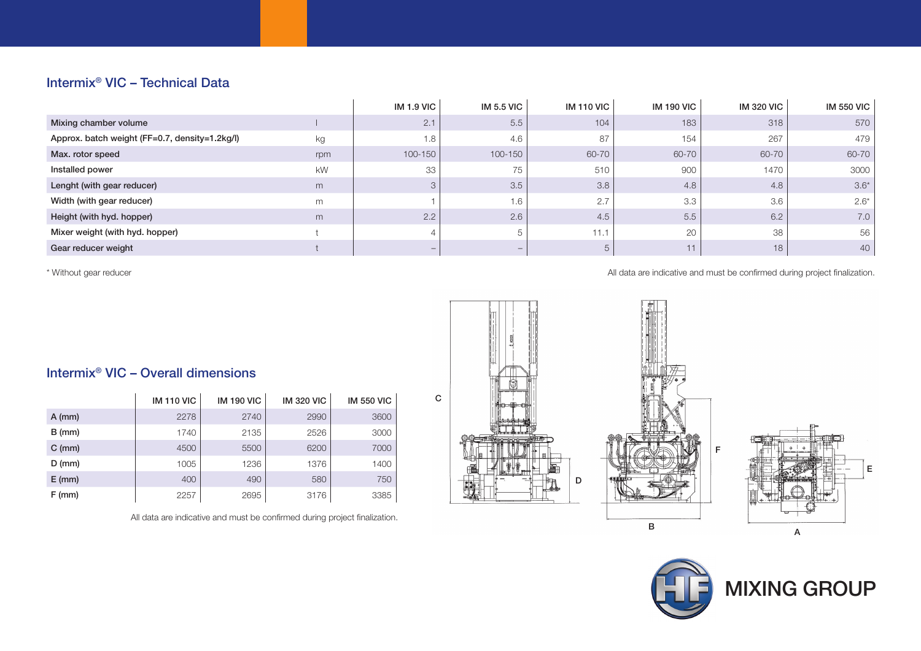## Intermix® VIC – Technical Data

|                                                |     | <b>IM 1.9 VIC</b>        | <b>IM 5.5 VIC</b>        | <b>IM 110 VIC</b> | <b>IM 190 VIC</b> | <b>IM 320 VIC</b> | <b>IM 550 VIC</b> |
|------------------------------------------------|-----|--------------------------|--------------------------|-------------------|-------------------|-------------------|-------------------|
| Mixing chamber volume                          |     | 2.1                      | 5.5                      | 104               | 183               | 318               | 570               |
| Approx. batch weight (FF=0.7, density=1.2kg/l) | kg  | 1.8                      | 4.6                      | 87                | 154               | 267               | 479               |
| Max. rotor speed                               | rpm | $100 - 150$              | $100 - 150$              | $60 - 70$         | 60-70             | 60-70             | 60-70             |
| Installed power                                | kW  | 33                       | 75                       | 510               | 900               | 1470              | 3000              |
| Lenght (with gear reducer)                     | m   |                          | 3.5                      | 3.8               | 4.8               | 4.8               | $3.6*$            |
| Width (with gear reducer)                      | m   |                          | 1.6                      | 2.7               | 3.3               | 3.6               | $2.6*$            |
| Height (with hyd. hopper)                      | m   | 2.2                      | 2.6                      | 4.5               | 5.5               | 6.2               | 7.0               |
| Mixer weight (with hyd. hopper)                |     |                          | -5                       | 11.1              | 20                | 38                | 56                |
| Gear reducer weight                            |     | $\overline{\phantom{a}}$ | $\overline{\phantom{a}}$ | 5                 | 11                | 18                | 40                |

\* Without gear reducer

All data are indicative and must be confirmed during project finalization.

F







# Intermix® VIC – Overall dimensions

|          | <b>IM 110 VIC</b> | <b>IM 190 VIC</b> | <b>IM 320 VIC</b> | <b>IM 550 VIC</b> |
|----------|-------------------|-------------------|-------------------|-------------------|
| $A$ (mm) | 2278              | 2740              | 2990              | 3600              |
| $B$ (mm) | 1740              | 2135              | 2526              | 3000              |
| $C$ (mm) | 4500              | 5500              | 6200              | 7000              |
| $D$ (mm) | 1005              | 1236              | 1376              | 1400              |
| $E$ (mm) | 400               | 490               | 580               | 750               |
| $F$ (mm) | 2257              | 2695              | 3176              | 3385              |

All data are indicative and must be confirmed during project finalization.